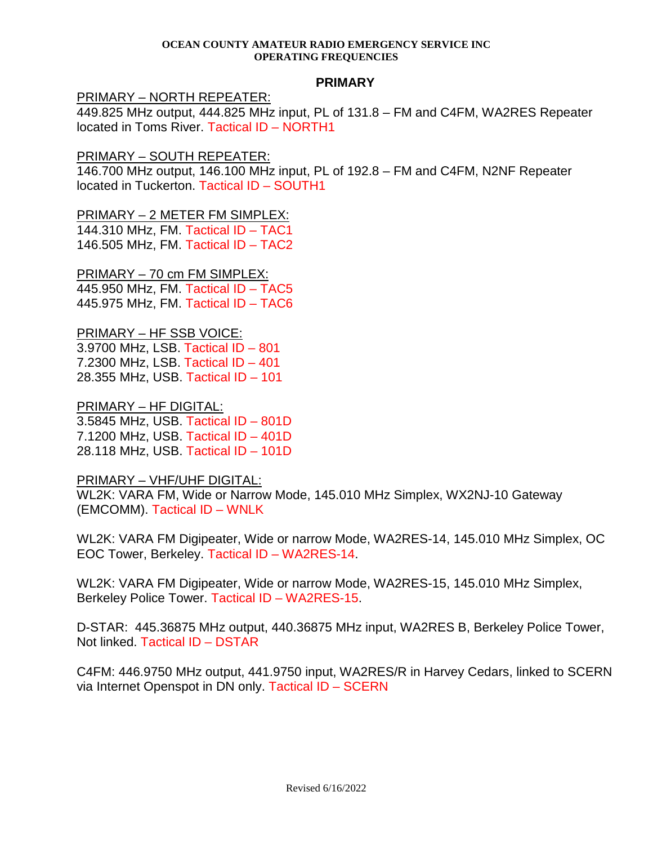#### **OCEAN COUNTY AMATEUR RADIO EMERGENCY SERVICE INC OPERATING FREQUENCIES**

### **PRIMARY**

## PRIMARY – NORTH REPEATER:

449.825 MHz output, 444.825 MHz input, PL of 131.8 – FM and C4FM, WA2RES Repeater located in Toms River. Tactical ID – NORTH1

## PRIMARY – SOUTH REPEATER:

146.700 MHz output, 146.100 MHz input, PL of 192.8 – FM and C4FM, N2NF Repeater located in Tuckerton. Tactical ID – SOUTH1

## PRIMARY – 2 METER FM SIMPLEX:

144.310 MHz, FM. Tactical ID – TAC1 146.505 MHz, FM. Tactical ID – TAC2

## PRIMARY – 70 cm FM SIMPLEX:

445.950 MHz, FM. Tactical ID – TAC5 445.975 MHz, FM. Tactical ID – TAC6

PRIMARY – HF SSB VOICE: 3.9700 MHz, LSB. Tactical ID – 801 7.2300 MHz, LSB. Tactical ID – 401 28.355 MHz, USB. Tactical ID – 101

PRIMARY – HF DIGITAL: 3.5845 MHz, USB. Tactical ID – 801D 7.1200 MHz, USB. Tactical ID – 401D 28.118 MHz, USB. Tactical ID – 101D

## PRIMARY – VHF/UHF DIGITAL:

WL2K: VARA FM, Wide or Narrow Mode, 145.010 MHz Simplex, WX2NJ-10 Gateway (EMCOMM). Tactical ID – WNLK

WL2K: VARA FM Digipeater, Wide or narrow Mode, WA2RES-14, 145.010 MHz Simplex, OC EOC Tower, Berkeley. Tactical ID – WA2RES-14.

WL2K: VARA FM Digipeater, Wide or narrow Mode, WA2RES-15, 145.010 MHz Simplex, Berkeley Police Tower. Tactical ID – WA2RES-15.

D-STAR: 445.36875 MHz output, 440.36875 MHz input, WA2RES B, Berkeley Police Tower, Not linked. Tactical ID – DSTAR

C4FM: 446.9750 MHz output, 441.9750 input, WA2RES/R in Harvey Cedars, linked to SCERN via Internet Openspot in DN only. Tactical ID – SCERN